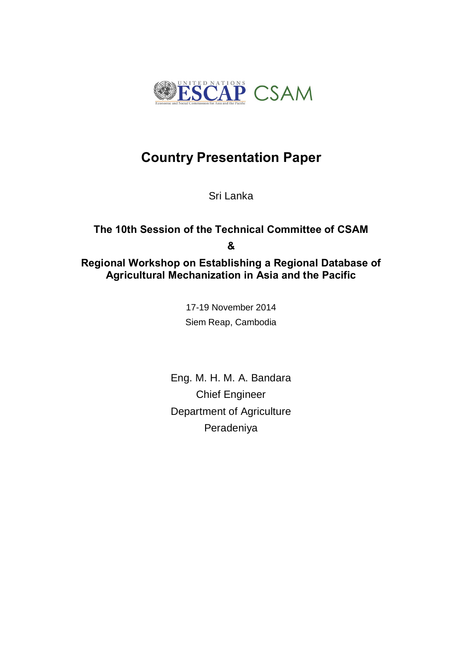

# **Country Presentation Paper**

Sri Lanka

## **The 10th Session of the Technical Committee of CSAM & Regional Workshop on Establishing a Regional Database of Agricultural Mechanization in Asia and the Pacific**

17-19 November 2014 Siem Reap, Cambodia

Eng. M. H. M. A. Bandara Chief Engineer Department of Agriculture Peradeniya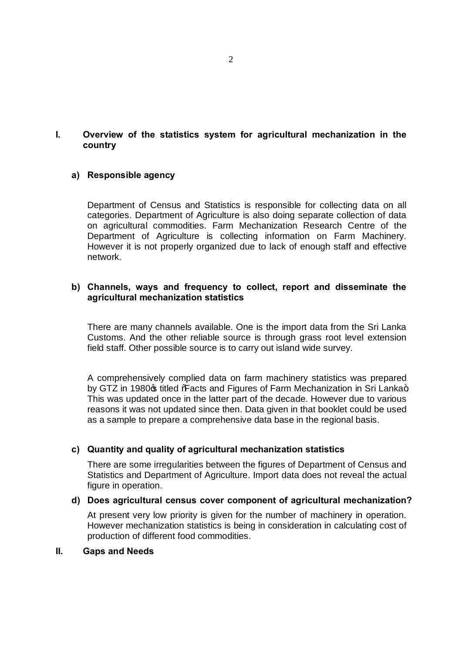### **I. Overview of the statistics system for agricultural mechanization in the country**

#### **a) Responsible agency**

Department of Census and Statistics is responsible for collecting data on all categories. Department of Agriculture is also doing separate collection of data on agricultural commodities. Farm Mechanization Research Centre of the Department of Agriculture is collecting information on Farm Machinery. However it is not properly organized due to lack of enough staff and effective network.

### **b) Channels, ways and frequency to collect, report and disseminate the agricultural mechanization statistics**

There are many channels available. One is the import data from the Sri Lanka Customs. And the other reliable source is through grass root level extension field staff. Other possible source is to carry out island wide survey.

A comprehensively complied data on farm machinery statistics was prepared by GTZ in 1980<sub>\$</sub> titled **"Facts and Figures of Farm Mechanization in Sri Lanka+**. This was updated once in the latter part of the decade. However due to various reasons it was not updated since then. Data given in that booklet could be used as a sample to prepare a comprehensive data base in the regional basis.

#### **c) Quantity and quality of agricultural mechanization statistics**

There are some irregularities between the figures of Department of Census and Statistics and Department of Agriculture. Import data does not reveal the actual figure in operation.

#### **d) Does agricultural census cover component of agricultural mechanization?**

At present very low priority is given for the number of machinery in operation. However mechanization statistics is being in consideration in calculating cost of production of different food commodities.

#### **II. Gaps and Needs**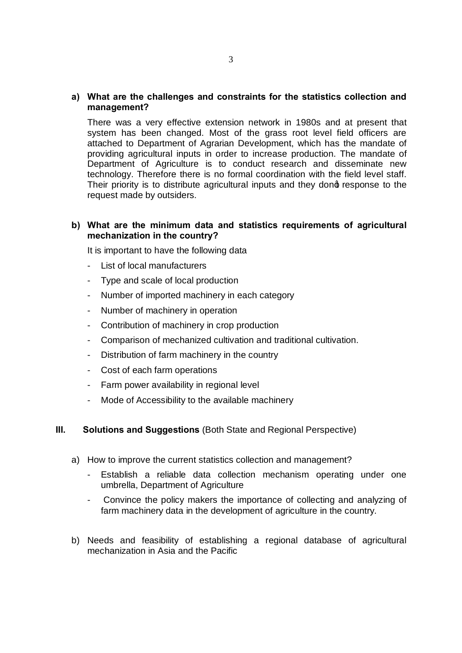#### **a) What are the challenges and constraints for the statistics collection and management?**

There was a very effective extension network in 1980s and at present that system has been changed. Most of the grass root level field officers are attached to Department of Agrarian Development, which has the mandate of providing agricultural inputs in order to increase production. The mandate of Department of Agriculture is to conduct research and disseminate new technology. Therefore there is no formal coordination with the field level staff. Their priority is to distribute agricultural inputs and they dong response to the request made by outsiders.

#### **b) What are the minimum data and statistics requirements of agricultural mechanization in the country?**

It is important to have the following data

- List of local manufacturers
- Type and scale of local production
- Number of imported machinery in each category
- Number of machinery in operation
- Contribution of machinery in crop production
- Comparison of mechanized cultivation and traditional cultivation.
- Distribution of farm machinery in the country
- Cost of each farm operations
- Farm power availability in regional level
- Mode of Accessibility to the available machinery

#### **III. Solutions and Suggestions** (Both State and Regional Perspective)

- a) How to improve the current statistics collection and management?
	- Establish a reliable data collection mechanism operating under one umbrella, Department of Agriculture
	- Convince the policy makers the importance of collecting and analyzing of farm machinery data in the development of agriculture in the country.
- b) Needs and feasibility of establishing a regional database of agricultural mechanization in Asia and the Pacific